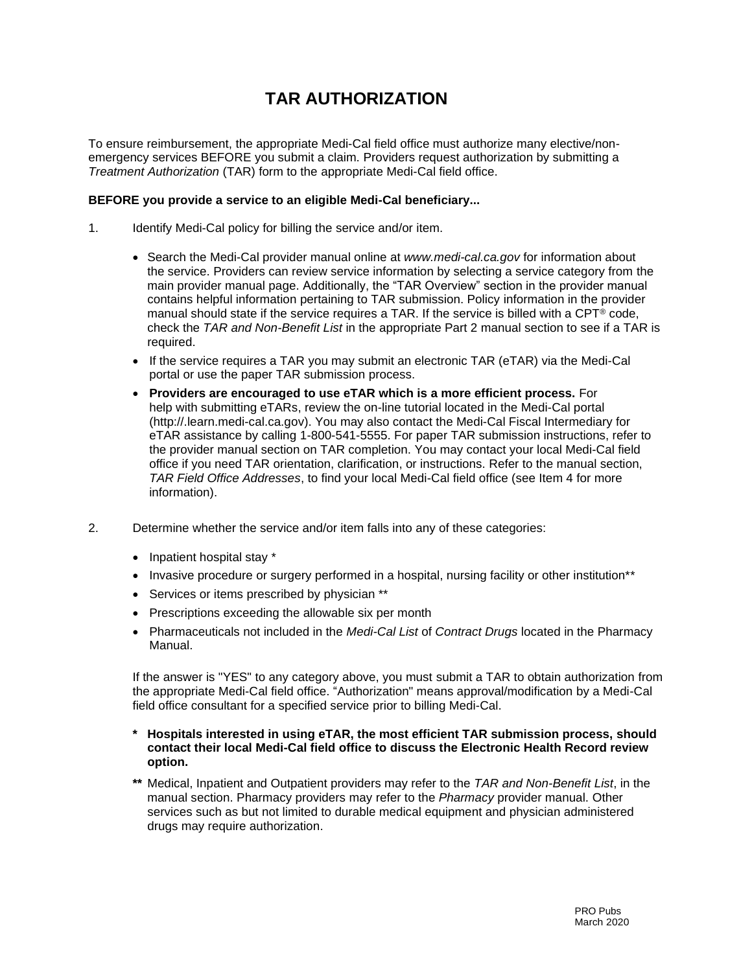## **TAR AUTHORIZATION**

To ensure reimbursement, the appropriate Medi-Cal field office must authorize many elective/nonemergency services BEFORE you submit a claim. Providers request authorization by submitting a *Treatment Authorization* (TAR) form to the appropriate Medi-Cal field office.

## **BEFORE you provide a service to an eligible Medi-Cal beneficiary...**

- 1. Identify Medi-Cal policy for billing the service and/or item.
	- Search the Medi-Cal provider manual online at *www.medi-cal.ca.gov* for information about the service. Providers can review service information by selecting a service category from the main provider manual page. Additionally, the "TAR Overview" section in the provider manual contains helpful information pertaining to TAR submission. Policy information in the provider manual should state if the service requires a TAR. If the service is billed with a  $\text{CPT}^{\circledast}$  code, check the *TAR and Non-Benefit List* in the appropriate Part 2 manual section to see if a TAR is required.
	- If the service requires a TAR you may submit an electronic TAR (eTAR) via the Medi-Cal portal or use the paper TAR submission process.
	- **Providers are encouraged to use eTAR which is a more efficient process.** For help with submitting eTARs, review the on-line tutorial located in the Medi-Cal portal (http://.learn.medi-cal.ca.gov). You may also contact the Medi-Cal Fiscal Intermediary for eTAR assistance by calling 1-800-541-5555. For paper TAR submission instructions, refer to the provider manual section on TAR completion. You may contact your local Medi-Cal field office if you need TAR orientation, clarification, or instructions. Refer to the manual section, *TAR Field Office Addresses*, to find your local Medi-Cal field office (see Item 4 for more information).
- 2. Determine whether the service and/or item falls into any of these categories:
	- Inpatient hospital stay \*
	- Invasive procedure or surgery performed in a hospital, nursing facility or other institution\*\*
	- Services or items prescribed by physician \*\*
	- Prescriptions exceeding the allowable six per month
	- Pharmaceuticals not included in the *Medi-Cal List* of *Contract Drugs* located in the Pharmacy Manual.

If the answer is "YES" to any category above, you must submit a TAR to obtain authorization from the appropriate Medi-Cal field office. "Authorization" means approval/modification by a Medi-Cal field office consultant for a specified service prior to billing Medi-Cal.

- **\* Hospitals interested in using eTAR, the most efficient TAR submission process, should contact their local Medi-Cal field office to discuss the Electronic Health Record review option.**
- **\*\*** Medical, Inpatient and Outpatient providers may refer to the *TAR and Non-Benefit List*, in the manual section. Pharmacy providers may refer to the *Pharmacy* provider manual. Other services such as but not limited to durable medical equipment and physician administered drugs may require authorization.